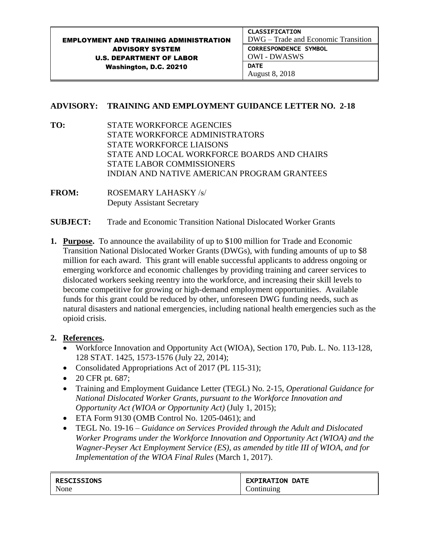## **ADVISORY: TRAINING AND EMPLOYMENT GUIDANCE LETTER NO. 2-18**

**TO:** STATE WORKFORCE AGENCIES STATE WORKFORCE ADMINISTRATORS STATE WORKFORCE LIAISONS STATE AND LOCAL WORKFORCE BOARDS AND CHAIRS STATE LABOR COMMISSIONERS INDIAN AND NATIVE AMERICAN PROGRAM GRANTEES

**FROM:** ROSEMARY LAHASKY /s/ Deputy Assistant Secretary

- **SUBJECT:** Trade and Economic Transition National Dislocated Worker Grants
- **1. Purpose.** To announce the availability of up to \$100 million for Trade and Economic Transition National Dislocated Worker Grants (DWGs), with funding amounts of up to \$8 million for each award. This grant will enable successful applicants to address ongoing or emerging workforce and economic challenges by providing training and career services to dislocated workers seeking reentry into the workforce, and increasing their skill levels to become competitive for growing or high-demand employment opportunities. Available funds for this grant could be reduced by other, unforeseen DWG funding needs, such as natural disasters and national emergencies, including national health emergencies such as the opioid crisis.

# **2. References.**

- Workforce Innovation and Opportunity Act (WIOA), Section 170, Pub. L. No. 113-128, 128 STAT. 1425, 1573-1576 (July 22, 2014);
- Consolidated Appropriations Act of 2017 (PL 115-31);
- $\bullet$  20 CFR pt. 687;
- Training and Employment Guidance Letter (TEGL) No. 2-15, *Operational Guidance for National Dislocated Worker Grants, pursuant to the Workforce Innovation and Opportunity Act (WIOA or Opportunity Act)* (July 1, 2015);
- ETA Form 9130 (OMB Control No. 1205-0461); and
- TEGL No. 19-16 *Guidance on Services Provided through the Adult and Dislocated Worker Programs under the Workforce Innovation and Opportunity Act (WIOA) and the Wagner-Peyser Act Employment Service (ES), as amended by title III of WIOA, and for Implementation of the WIOA Final Rules* (March 1, 2017).

| <b>RESCISSIONS</b> | <b>EXPIRATION DATE</b> |
|--------------------|------------------------|
| None               | .)ontinuing            |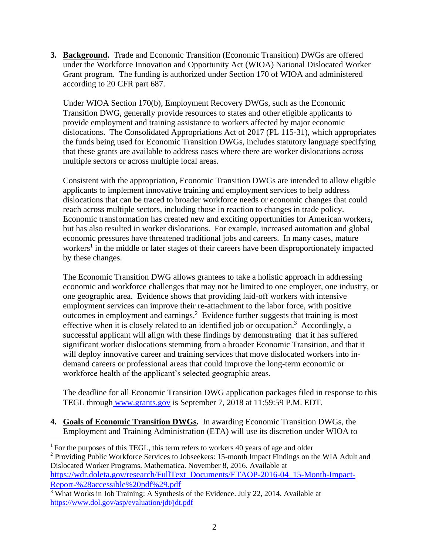**3. Background.** Trade and Economic Transition (Economic Transition) DWGs are offered under the Workforce Innovation and Opportunity Act (WIOA) National Dislocated Worker Grant program. The funding is authorized under Section 170 of WIOA and administered according to 20 CFR part 687.

Under WIOA Section 170(b), Employment Recovery DWGs, such as the Economic Transition DWG, generally provide resources to states and other eligible applicants to provide employment and training assistance to workers affected by major economic dislocations. The Consolidated Appropriations Act of 2017 (PL 115-31), which appropriates the funds being used for Economic Transition DWGs, includes statutory language specifying that these grants are available to address cases where there are worker dislocations across multiple sectors or across multiple local areas.

Consistent with the appropriation, Economic Transition DWGs are intended to allow eligible applicants to implement innovative training and employment services to help address dislocations that can be traced to broader workforce needs or economic changes that could reach across multiple sectors, including those in reaction to changes in trade policy. Economic transformation has created new and exciting opportunities for American workers, but has also resulted in worker dislocations. For example, increased automation and global economic pressures have threatened traditional jobs and careers. In many cases, mature workers<sup>1</sup> in the middle or later stages of their careers have been disproportionately impacted by these changes.

The Economic Transition DWG allows grantees to take a holistic approach in addressing economic and workforce challenges that may not be limited to one employer, one industry, or one geographic area. Evidence shows that providing laid-off workers with intensive employment services can improve their re-attachment to the labor force, with positive outcomes in employment and earnings.<sup>2</sup> Evidence further suggests that training is most effective when it is closely related to an identified job or occupation.<sup>3</sup> Accordingly, a successful applicant will align with these findings by demonstrating that it has suffered significant worker dislocations stemming from a broader Economic Transition, and that it will deploy innovative career and training services that move dislocated workers into indemand careers or professional areas that could improve the long-term economic or workforce health of the applicant's selected geographic areas.

The deadline for all Economic Transition DWG application packages filed in response to this TEGL through [www.grants.gov](https://www.grants.gov/) is September 7, 2018 at 11:59:59 P.M. EDT.

**4. Goals of Economic Transition DWGs.** In awarding Economic Transition DWGs, the Employment and Training Administration (ETA) will use its discretion under WIOA to

<sup>2</sup> Providing Public Workforce Services to Jobseekers: 15-month Impact Findings on the WIA Adult and Dislocated Worker Programs. Mathematica. November 8, 2016. Available at [https://wdr.doleta.gov/research/FullText\\_Documents/ETAOP-2016-04\\_15-Month-Impact-](https://wdr.doleta.gov/research/FullText_Documents/ETAOP-2016-04_15-Month-Impact-Report-%28accessible%20pdf%29.pdf)[Report-%28accessible%20pdf%29.pdf](https://wdr.doleta.gov/research/FullText_Documents/ETAOP-2016-04_15-Month-Impact-Report-%28accessible%20pdf%29.pdf)

<sup>÷,</sup>  $1$  For the purposes of this TEGL, this term refers to workers 40 years of age and older

<sup>&</sup>lt;sup>3</sup> What Works in Job Training: A Synthesis of the Evidence. July 22, 2014. Available at <https://www.dol.gov/asp/evaluation/jdt/jdt.pdf>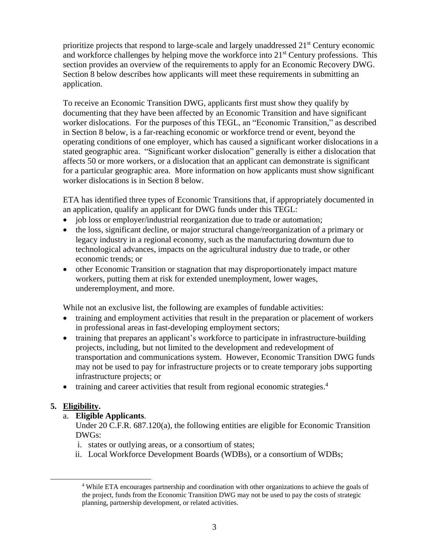prioritize projects that respond to large-scale and largely unaddressed 21<sup>st</sup> Century economic and workforce challenges by helping move the workforce into  $21<sup>st</sup>$  Century professions. This section provides an overview of the requirements to apply for an Economic Recovery DWG. Section 8 below describes how applicants will meet these requirements in submitting an application.

To receive an Economic Transition DWG, applicants first must show they qualify by documenting that they have been affected by an Economic Transition and have significant worker dislocations. For the purposes of this TEGL, an "Economic Transition," as described in Section 8 below, is a far-reaching economic or workforce trend or event, beyond the operating conditions of one employer, which has caused a significant worker dislocations in a stated geographic area. "Significant worker dislocation" generally is either a dislocation that affects 50 or more workers, or a dislocation that an applicant can demonstrate is significant for a particular geographic area. More information on how applicants must show significant worker dislocations is in Section 8 below.

ETA has identified three types of Economic Transitions that, if appropriately documented in an application, qualify an applicant for DWG funds under this TEGL:

- job loss or employer/industrial reorganization due to trade or automation;
- the loss, significant decline, or major structural change/reorganization of a primary or legacy industry in a regional economy, such as the manufacturing downturn due to technological advances, impacts on the agricultural industry due to trade, or other economic trends; or
- other Economic Transition or stagnation that may disproportionately impact mature workers, putting them at risk for extended unemployment, lower wages, underemployment, and more.

While not an exclusive list, the following are examples of fundable activities:

- training and employment activities that result in the preparation or placement of workers in professional areas in fast-developing employment sectors;
- training that prepares an applicant's workforce to participate in infrastructure-building projects, including, but not limited to the development and redevelopment of transportation and communications system. However, Economic Transition DWG funds may not be used to pay for infrastructure projects or to create temporary jobs supporting infrastructure projects; or
- training and career activities that result from regional economic strategies.<sup>4</sup>

# **5. Eligibility.**

÷,

a. **Eligible Applicants**.

Under 20 C.F.R. 687.120(a), the following entities are eligible for Economic Transition DWGs:

- i. states or outlying areas, or a consortium of states;
- ii. Local Workforce Development Boards (WDBs), or a consortium of WDBs;

<sup>4</sup> While ETA encourages partnership and coordination with other organizations to achieve the goals of the project, funds from the Economic Transition DWG may not be used to pay the costs of strategic planning, partnership development, or related activities.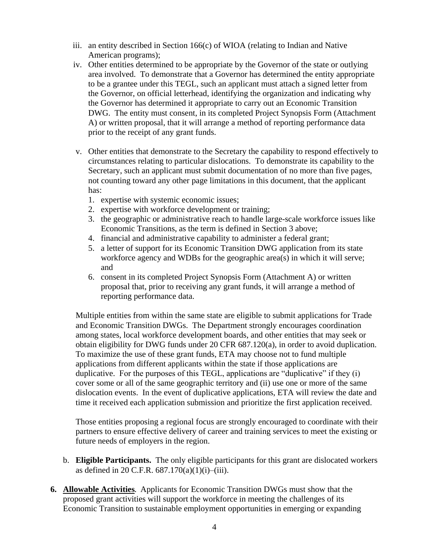- iii. an entity described in Section 166(c) of WIOA (relating to Indian and Native American programs);
- iv. Other entities determined to be appropriate by the Governor of the state or outlying area involved. To demonstrate that a Governor has determined the entity appropriate to be a grantee under this TEGL, such an applicant must attach a signed letter from the Governor, on official letterhead, identifying the organization and indicating why the Governor has determined it appropriate to carry out an Economic Transition DWG. The entity must consent, in its completed Project Synopsis Form (Attachment A) or written proposal, that it will arrange a method of reporting performance data prior to the receipt of any grant funds.
- v. Other entities that demonstrate to the Secretary the capability to respond effectively to circumstances relating to particular dislocations. To demonstrate its capability to the Secretary, such an applicant must submit documentation of no more than five pages, not counting toward any other page limitations in this document, that the applicant has:
	- 1. expertise with systemic economic issues;
	- 2. expertise with workforce development or training;
	- 3. the geographic or administrative reach to handle large-scale workforce issues like Economic Transitions, as the term is defined in Section 3 above;
	- 4. financial and administrative capability to administer a federal grant;
	- 5. a letter of support for its Economic Transition DWG application from its state workforce agency and WDBs for the geographic area(s) in which it will serve; and
	- 6. consent in its completed Project Synopsis Form (Attachment A) or written proposal that, prior to receiving any grant funds, it will arrange a method of reporting performance data.

Multiple entities from within the same state are eligible to submit applications for Trade and Economic Transition DWGs. The Department strongly encourages coordination among states, local workforce development boards, and other entities that may seek or obtain eligibility for DWG funds under 20 CFR 687.120(a), in order to avoid duplication. To maximize the use of these grant funds, ETA may choose not to fund multiple applications from different applicants within the state if those applications are duplicative. For the purposes of this TEGL, applications are "duplicative" if they (i) cover some or all of the same geographic territory and (ii) use one or more of the same dislocation events. In the event of duplicative applications, ETA will review the date and time it received each application submission and prioritize the first application received.

Those entities proposing a regional focus are strongly encouraged to coordinate with their partners to ensure effective delivery of career and training services to meet the existing or future needs of employers in the region.

- b. **Eligible Participants.** The only eligible participants for this grant are dislocated workers as defined in 20 C.F.R.  $687.170(a)(1)(i)$ –(iii).
- **6. Allowable Activities.** Applicants for Economic Transition DWGs must show that the proposed grant activities will support the workforce in meeting the challenges of its Economic Transition to sustainable employment opportunities in emerging or expanding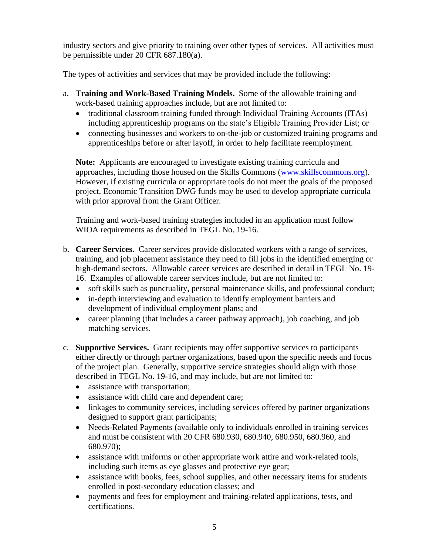industry sectors and give priority to training over other types of services. All activities must be permissible under 20 CFR 687.180(a).

The types of activities and services that may be provided include the following:

- a. **Training and Work-Based Training Models.** Some of the allowable training and work-based training approaches include, but are not limited to:
	- traditional classroom training funded through Individual Training Accounts (ITAs) including apprenticeship programs on the state's Eligible Training Provider List; or
	- connecting businesses and workers to on-the-job or customized training programs and apprenticeships before or after layoff, in order to help facilitate reemployment.

**Note:** Applicants are encouraged to investigate existing training curricula and approaches, including those housed on the Skills Commons [\(www.skillscommons.org\)](http://www.skillscommons.org/). However, if existing curricula or appropriate tools do not meet the goals of the proposed project, Economic Transition DWG funds may be used to develop appropriate curricula with prior approval from the Grant Officer.

Training and work-based training strategies included in an application must follow WIOA requirements as described in TEGL No. 19-16.

- b. **Career Services.** Career services provide dislocated workers with a range of services, training, and job placement assistance they need to fill jobs in the identified emerging or high-demand sectors. Allowable career services are described in detail in TEGL No. 19- 16. Examples of allowable career services include, but are not limited to:
	- soft skills such as punctuality, personal maintenance skills, and professional conduct;
	- in-depth interviewing and evaluation to identify employment barriers and development of individual employment plans; and
	- career planning (that includes a career pathway approach), job coaching, and job matching services.
- c. **Supportive Services.** Grant recipients may offer supportive services to participants either directly or through partner organizations, based upon the specific needs and focus of the project plan. Generally, supportive service strategies should align with those described in TEGL No. 19-16, and may include, but are not limited to:
	- assistance with transportation;
	- assistance with child care and dependent care;
	- linkages to community services, including services offered by partner organizations designed to support grant participants;
	- Needs-Related Payments (available only to individuals enrolled in training services and must be consistent with 20 CFR 680.930, 680.940, 680.950, 680.960, and 680.970);
	- assistance with uniforms or other appropriate work attire and work-related tools, including such items as eye glasses and protective eye gear;
	- assistance with books, fees, school supplies, and other necessary items for students enrolled in post-secondary education classes; and
	- payments and fees for employment and training-related applications, tests, and certifications.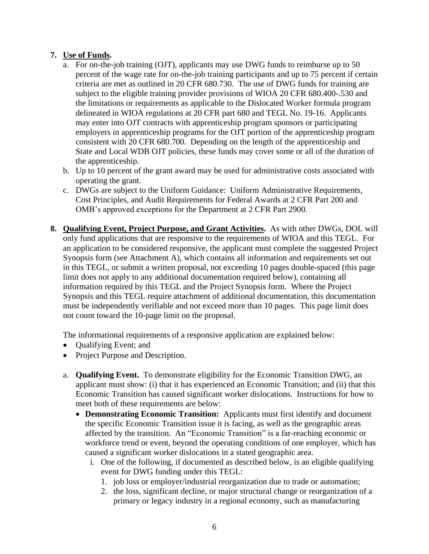### **7. Use of Funds.**

- a. For on-the-job training (OJT), applicants may use DWG funds to reimburse up to 50 percent of the wage rate for on-the-job training participants and up to 75 percent if certain criteria are met as outlined in 20 CFR 680.730. The use of DWG funds for training are subject to the eligible training provider provisions of WIOA 20 CFR 680.400-.530 and the limitations or requirements as applicable to the Dislocated Worker formula program delineated in WIOA regulations at 20 CFR part 680 and TEGL No. 19-16. Applicants may enter into OJT contracts with apprenticeship program sponsors or participating employers in apprenticeship programs for the OJT portion of the apprenticeship program consistent with 20 CFR 680.700. Depending on the length of the apprenticeship and State and Local WDB OJT policies, these funds may cover some or all of the duration of the apprenticeship.
- b. Up to 10 percent of the grant award may be used for administrative costs associated with operating the grant.
- c. DWGs are subject to the Uniform Guidance: Uniform Administrative Requirements, Cost Principles, and Audit Requirements for Federal Awards at 2 CFR Part 200 and OMB's approved exceptions for the Department at 2 CFR Part 2900.
- **8. Qualifying Event, Project Purpose, and Grant Activities.** As with other DWGs, DOL will only fund applications that are responsive to the requirements of WIOA and this TEGL. For an application to be considered responsive, the applicant must complete the suggested Project Synopsis form (see Attachment A), which contains all information and requirements set out in this TEGL, or submit a written proposal, not exceeding 10 pages double-spaced (this page limit does not apply to any additional documentation required below), containing all information required by this TEGL and the Project Synopsis form. Where the Project Synopsis and this TEGL require attachment of additional documentation, this documentation must be independently verifiable and not exceed more than 10 pages. This page limit does not count toward the 10-page limit on the proposal.

The informational requirements of a responsive application are explained below:

- Qualifying Event; and
- Project Purpose and Description.
- a. **Qualifying Event.** To demonstrate eligibility for the Economic Transition DWG, an applicant must show: (i) that it has experienced an Economic Transition; and (ii) that this Economic Transition has caused significant worker dislocations. Instructions for how to meet both of these requirements are below:
	- **Demonstrating Economic Transition:** Applicants must first identify and document the specific Economic Transition issue it is facing, as well as the geographic areas affected by the transition. An "Economic Transition" is a far-reaching economic or workforce trend or event, beyond the operating conditions of one employer, which has caused a significant worker dislocations in a stated geographic area.
		- i. One of the following, if documented as described below, is an eligible qualifying event for DWG funding under this TEGL:
			- 1. job loss or employer/industrial reorganization due to trade or automation;
			- 2. the loss, significant decline, or major structural change or reorganization of a primary or legacy industry in a regional economy, such as manufacturing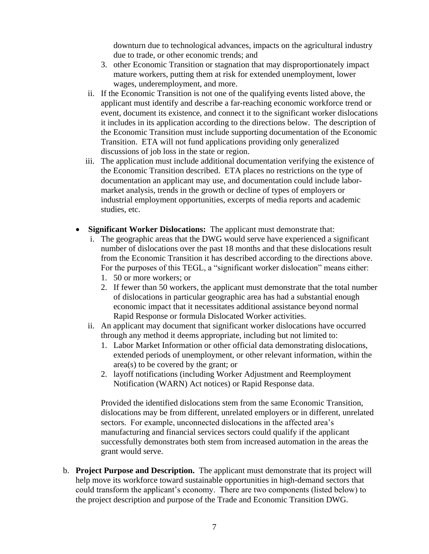downturn due to technological advances, impacts on the agricultural industry due to trade, or other economic trends; and

- 3. other Economic Transition or stagnation that may disproportionately impact mature workers, putting them at risk for extended unemployment, lower wages, underemployment, and more.
- ii. If the Economic Transition is not one of the qualifying events listed above, the applicant must identify and describe a far-reaching economic workforce trend or event, document its existence, and connect it to the significant worker dislocations it includes in its application according to the directions below. The description of the Economic Transition must include supporting documentation of the Economic Transition. ETA will not fund applications providing only generalized discussions of job loss in the state or region.
- iii. The application must include additional documentation verifying the existence of the Economic Transition described. ETA places no restrictions on the type of documentation an applicant may use, and documentation could include labormarket analysis, trends in the growth or decline of types of employers or industrial employment opportunities, excerpts of media reports and academic studies, etc.
- **Significant Worker Dislocations:** The applicant must demonstrate that:
	- i. The geographic areas that the DWG would serve have experienced a significant number of dislocations over the past 18 months and that these dislocations result from the Economic Transition it has described according to the directions above. For the purposes of this TEGL, a "significant worker dislocation" means either:
		- 1. 50 or more workers; or
		- 2. If fewer than 50 workers, the applicant must demonstrate that the total number of dislocations in particular geographic area has had a substantial enough economic impact that it necessitates additional assistance beyond normal Rapid Response or formula Dislocated Worker activities.
	- ii. An applicant may document that significant worker dislocations have occurred through any method it deems appropriate, including but not limited to:
		- 1. Labor Market Information or other official data demonstrating dislocations, extended periods of unemployment, or other relevant information, within the area(s) to be covered by the grant; or
		- 2. layoff notifications (including Worker Adjustment and Reemployment Notification (WARN) Act notices) or Rapid Response data.

Provided the identified dislocations stem from the same Economic Transition, dislocations may be from different, unrelated employers or in different, unrelated sectors. For example, unconnected dislocations in the affected area's manufacturing and financial services sectors could qualify if the applicant successfully demonstrates both stem from increased automation in the areas the grant would serve.

b. **Project Purpose and Description.** The applicant must demonstrate that its project will help move its workforce toward sustainable opportunities in high-demand sectors that could transform the applicant's economy. There are two components (listed below) to the project description and purpose of the Trade and Economic Transition DWG.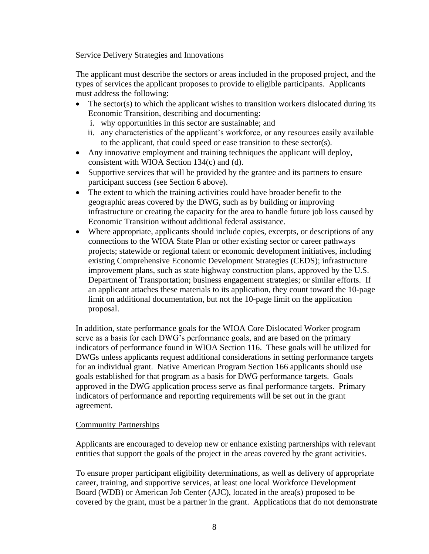Service Delivery Strategies and Innovations

The applicant must describe the sectors or areas included in the proposed project, and the types of services the applicant proposes to provide to eligible participants. Applicants must address the following:

- $\bullet$  The sector(s) to which the applicant wishes to transition workers dislocated during its Economic Transition, describing and documenting:
	- i. why opportunities in this sector are sustainable; and
	- ii. any characteristics of the applicant's workforce, or any resources easily available to the applicant, that could speed or ease transition to these sector(s).
- Any innovative employment and training techniques the applicant will deploy, consistent with WIOA Section 134(c) and (d).
- Supportive services that will be provided by the grantee and its partners to ensure participant success (see Section 6 above).
- The extent to which the training activities could have broader benefit to the geographic areas covered by the DWG, such as by building or improving infrastructure or creating the capacity for the area to handle future job loss caused by Economic Transition without additional federal assistance.
- Where appropriate, applicants should include copies, excerpts, or descriptions of any connections to the WIOA State Plan or other existing sector or career pathways projects; statewide or regional talent or economic development initiatives, including existing Comprehensive Economic Development Strategies (CEDS); infrastructure improvement plans, such as state highway construction plans, approved by the U.S. Department of Transportation; business engagement strategies; or similar efforts. If an applicant attaches these materials to its application, they count toward the 10-page limit on additional documentation, but not the 10-page limit on the application proposal.

In addition, state performance goals for the WIOA Core Dislocated Worker program serve as a basis for each DWG's performance goals, and are based on the primary indicators of performance found in WIOA Section 116. These goals will be utilized for DWGs unless applicants request additional considerations in setting performance targets for an individual grant. Native American Program Section 166 applicants should use goals established for that program as a basis for DWG performance targets. Goals approved in the DWG application process serve as final performance targets. Primary indicators of performance and reporting requirements will be set out in the grant agreement.

### Community Partnerships

Applicants are encouraged to develop new or enhance existing partnerships with relevant entities that support the goals of the project in the areas covered by the grant activities.

To ensure proper participant eligibility determinations, as well as delivery of appropriate career, training, and supportive services, at least one local Workforce Development Board (WDB) or American Job Center (AJC), located in the area(s) proposed to be covered by the grant, must be a partner in the grant. Applications that do not demonstrate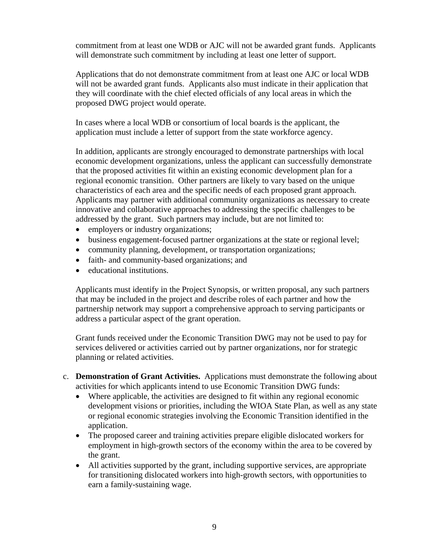commitment from at least one WDB or AJC will not be awarded grant funds. Applicants will demonstrate such commitment by including at least one letter of support.

Applications that do not demonstrate commitment from at least one AJC or local WDB will not be awarded grant funds. Applicants also must indicate in their application that they will coordinate with the chief elected officials of any local areas in which the proposed DWG project would operate.

In cases where a local WDB or consortium of local boards is the applicant, the application must include a letter of support from the state workforce agency.

In addition, applicants are strongly encouraged to demonstrate partnerships with local economic development organizations, unless the applicant can successfully demonstrate that the proposed activities fit within an existing economic development plan for a regional economic transition. Other partners are likely to vary based on the unique characteristics of each area and the specific needs of each proposed grant approach. Applicants may partner with additional community organizations as necessary to create innovative and collaborative approaches to addressing the specific challenges to be addressed by the grant. Such partners may include, but are not limited to:

- employers or industry organizations;
- business engagement-focused partner organizations at the state or regional level;
- community planning, development, or transportation organizations;
- faith- and community-based organizations; and
- educational institutions.

Applicants must identify in the Project Synopsis, or written proposal, any such partners that may be included in the project and describe roles of each partner and how the partnership network may support a comprehensive approach to serving participants or address a particular aspect of the grant operation.

Grant funds received under the Economic Transition DWG may not be used to pay for services delivered or activities carried out by partner organizations, nor for strategic planning or related activities.

- c. **Demonstration of Grant Activities.** Applications must demonstrate the following about activities for which applicants intend to use Economic Transition DWG funds:
	- Where applicable, the activities are designed to fit within any regional economic development visions or priorities, including the WIOA State Plan, as well as any state or regional economic strategies involving the Economic Transition identified in the application.
	- The proposed career and training activities prepare eligible dislocated workers for employment in high-growth sectors of the economy within the area to be covered by the grant.
	- All activities supported by the grant, including supportive services, are appropriate for transitioning dislocated workers into high-growth sectors, with opportunities to earn a family-sustaining wage.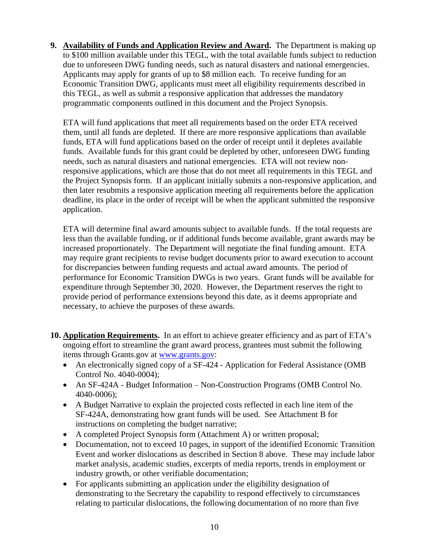**9. Availability of Funds and Application Review and Award.** The Department is making up to \$100 million available under this TEGL, with the total available funds subject to reduction due to unforeseen DWG funding needs, such as natural disasters and national emergencies. Applicants may apply for grants of up to \$8 million each. To receive funding for an Economic Transition DWG, applicants must meet all eligibility requirements described in this TEGL, as well as submit a responsive application that addresses the mandatory programmatic components outlined in this document and the Project Synopsis.

ETA will fund applications that meet all requirements based on the order ETA received them, until all funds are depleted. If there are more responsive applications than available funds, ETA will fund applications based on the order of receipt until it depletes available funds. Available funds for this grant could be depleted by other, unforeseen DWG funding needs, such as natural disasters and national emergencies. ETA will not review nonresponsive applications, which are those that do not meet all requirements in this TEGL and the Project Synopsis form. If an applicant initially submits a non-responsive application, and then later resubmits a responsive application meeting all requirements before the application deadline, its place in the order of receipt will be when the applicant submitted the responsive application.

ETA will determine final award amounts subject to available funds. If the total requests are less than the available funding, or if additional funds become available, grant awards may be increased proportionately. The Department will negotiate the final funding amount. ETA may require grant recipients to revise budget documents prior to award execution to account for discrepancies between funding requests and actual award amounts. The period of performance for Economic Transition DWGs is two years. Grant funds will be available for expenditure through September 30, 2020. However, the Department reserves the right to provide period of performance extensions beyond this date, as it deems appropriate and necessary, to achieve the purposes of these awards.

- **10. Application Requirements.** In an effort to achieve greater efficiency and as part of ETA's ongoing effort to streamline the grant award process, grantees must submit the following items through Grants.gov at [www.grants.gov:](http://www.grants.gov/)
	- An electronically signed copy of a SF-424 Application for Federal Assistance (OMB Control No. 4040-0004);
	- An SF-424A Budget Information Non-Construction Programs (OMB Control No. 4040-0006);
	- A Budget Narrative to explain the projected costs reflected in each line item of the SF-424A, demonstrating how grant funds will be used. See Attachment B for instructions on completing the budget narrative;
	- A completed Project Synopsis form (Attachment A) or written proposal;
	- Documentation, not to exceed 10 pages, in support of the identified Economic Transition Event and worker dislocations as described in Section 8 above. These may include labor market analysis, academic studies, excerpts of media reports, trends in employment or industry growth, or other verifiable documentation;
	- For applicants submitting an application under the eligibility designation of demonstrating to the Secretary the capability to respond effectively to circumstances relating to particular dislocations, the following documentation of no more than five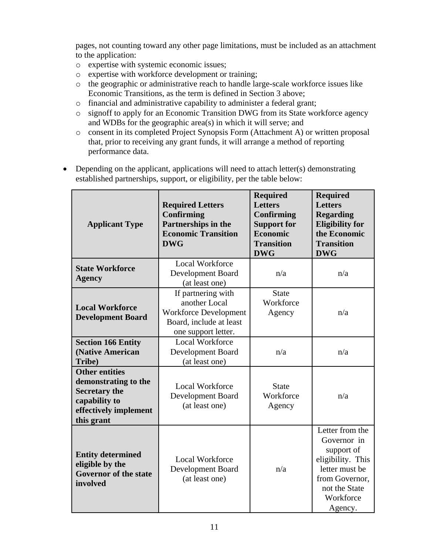pages, not counting toward any other page limitations, must be included as an attachment to the application:

- o expertise with systemic economic issues;
- o expertise with workforce development or training;
- o the geographic or administrative reach to handle large-scale workforce issues like Economic Transitions, as the term is defined in Section 3 above;
- o financial and administrative capability to administer a federal grant;
- o signoff to apply for an Economic Transition DWG from its State workforce agency and WDBs for the geographic area(s) in which it will serve; and
- o consent in its completed Project Synopsis Form (Attachment A) or written proposal that, prior to receiving any grant funds, it will arrange a method of reporting performance data.

| <b>Applicant Type</b>                                                                                                         | <b>Required Letters</b><br><b>Confirming</b><br>Partnerships in the<br><b>Economic Transition</b><br><b>DWG</b>       | <b>Required</b><br><b>Letters</b><br>Confirming<br><b>Support for</b><br>Economic<br><b>Transition</b><br><b>DWG</b> | <b>Required</b><br><b>Letters</b><br><b>Regarding</b><br><b>Eligibility for</b><br>the Economic<br><b>Transition</b><br><b>DWG</b>             |
|-------------------------------------------------------------------------------------------------------------------------------|-----------------------------------------------------------------------------------------------------------------------|----------------------------------------------------------------------------------------------------------------------|------------------------------------------------------------------------------------------------------------------------------------------------|
| <b>State Workforce</b><br><b>Agency</b>                                                                                       | <b>Local Workforce</b><br>Development Board<br>(at least one)                                                         | n/a                                                                                                                  | n/a                                                                                                                                            |
| <b>Local Workforce</b><br><b>Development Board</b>                                                                            | If partnering with<br>another Local<br><b>Workforce Development</b><br>Board, include at least<br>one support letter. | <b>State</b><br>Workforce<br>Agency                                                                                  | n/a                                                                                                                                            |
| <b>Section 166 Entity</b><br>(Native American<br>Tribe)                                                                       | Local Workforce<br>Development Board<br>(at least one)                                                                | n/a                                                                                                                  | n/a                                                                                                                                            |
| <b>Other entities</b><br>demonstrating to the<br><b>Secretary the</b><br>capability to<br>effectively implement<br>this grant | Local Workforce<br>Development Board<br>(at least one)                                                                | <b>State</b><br>Workforce<br>Agency                                                                                  | n/a                                                                                                                                            |
| <b>Entity determined</b><br>eligible by the<br><b>Governor of the state</b><br>involved                                       | <b>Local Workforce</b><br>Development Board<br>(at least one)                                                         | n/a                                                                                                                  | Letter from the<br>Governor in<br>support of<br>eligibility. This<br>letter must be<br>from Governor,<br>not the State<br>Workforce<br>Agency. |

• Depending on the applicant, applications will need to attach letter(s) demonstrating established partnerships, support, or eligibility, per the table below: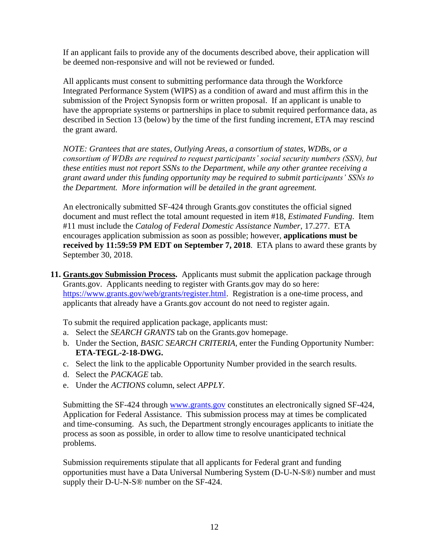If an applicant fails to provide any of the documents described above, their application will be deemed non-responsive and will not be reviewed or funded.

All applicants must consent to submitting performance data through the Workforce Integrated Performance System (WIPS) as a condition of award and must affirm this in the submission of the Project Synopsis form or written proposal. If an applicant is unable to have the appropriate systems or partnerships in place to submit required performance data, as described in Section 13 (below) by the time of the first funding increment, ETA may rescind the grant award.

*NOTE: Grantees that are states, Outlying Areas, a consortium of states, WDBs, or a consortium of WDBs are required to request participants' social security numbers (SSN), but these entities must not report SSNs to the Department, while any other grantee receiving a grant award under this funding opportunity may be required to submit participants' SSNs to the Department. More information will be detailed in the grant agreement.* 

An electronically submitted SF-424 through Grants.gov constitutes the official signed document and must reflect the total amount requested in item #18, *Estimated Funding*. Item #11 must include the *Catalog of Federal Domestic Assistance Number*, 17.277. ETA encourages application submission as soon as possible; however, **applications must be received by 11:59:59 PM EDT on September 7, 2018**.ETA plans to award these grants by September 30, 2018.

**11. Grants.gov Submission Process.** Applicants must submit the application package through Grants.gov. Applicants needing to register with Grants.gov may do so here: [https://www.grants.gov/web/grants/register.html.](https://www.grants.gov/web/grants/register.html) Registration is a one-time process, and applicants that already have a Grants.gov account do not need to register again.

To submit the required application package, applicants must:

- a. Select the *SEARCH GRANTS* tab on the Grants.gov homepage.
- b. Under the Section, *BASIC SEARCH CRITERIA*, enter the Funding Opportunity Number: **ETA-TEGL-2-18-DWG.**
- c. Select the link to the applicable Opportunity Number provided in the search results.
- d. Select the *PACKAGE* tab.
- e. Under the *ACTIONS* column, select *APPLY*.

Submitting the SF-424 through [www.grants.gov](http://www.grants.gov/) constitutes an electronically signed SF-424, Application for Federal Assistance. This submission process may at times be complicated and time-consuming. As such, the Department strongly encourages applicants to initiate the process as soon as possible, in order to allow time to resolve unanticipated technical problems.

Submission requirements stipulate that all applicants for Federal grant and funding opportunities must have a Data Universal Numbering System (D-U-N-S®) number and must supply their D-U-N-S® number on the SF-424.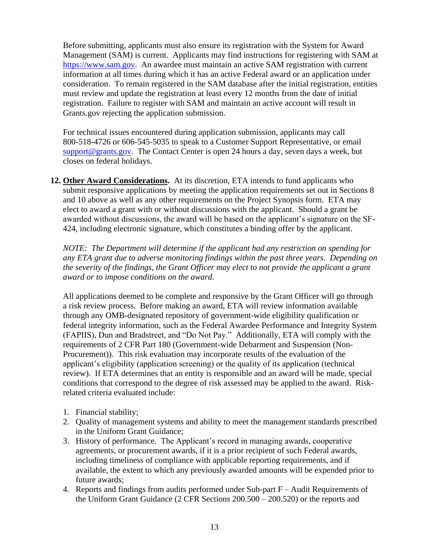Before submitting, applicants must also ensure its registration with the System for Award Management (SAM) is current. Applicants may find instructions for registering with SAM at [https://www.sam.gov.](https://www.sam.gov/) An awardee must maintain an active SAM registration with current information at all times during which it has an active Federal award or an application under consideration. To remain registered in the SAM database after the initial registration, entities must review and update the registration at least every 12 months from the date of initial registration. Failure to register with SAM and maintain an active account will result in Grants.gov rejecting the application submission.

For technical issues encountered during application submission, applicants may call 800-518-4726 or 606-545-5035 to speak to a Customer Support Representative, or email [support@grants.gov.](mailto:support@grants.gov) The Contact Center is open 24 hours a day, seven days a week, but closes on federal holidays.

**12. Other Award Considerations.** At its discretion, ETA intends to fund applicants who submit responsive applications by meeting the application requirements set out in Sections 8 and 10 above as well as any other requirements on the Project Synopsis form. ETA may elect to award a grant with or without discussions with the applicant. Should a grant be awarded without discussions, the award will be based on the applicant's signature on the SF-424, including electronic signature, which constitutes a binding offer by the applicant.

*NOTE: The Department will determine if the applicant had any restriction on spending for any ETA grant due to adverse monitoring findings within the past three years. Depending on the severity of the findings, the Grant Officer may elect to not provide the applicant a grant award or to impose conditions on the award.*

All applications deemed to be complete and responsive by the Grant Officer will go through a risk review process. Before making an award, ETA will review information available through any OMB-designated repository of government-wide eligibility qualification or federal integrity information, such as the Federal Awardee Performance and Integrity System (FAPIIS), Dun and Bradstreet, and "Do Not Pay." Additionally, ETA will comply with the requirements of 2 CFR Part 180 (Government-wide Debarment and Suspension (Non-Procurement)). This risk evaluation may incorporate results of the evaluation of the applicant's eligibility (application screening) or the quality of its application (technical review). If ETA determines that an entity is responsible and an award will be made, special conditions that correspond to the degree of risk assessed may be applied to the award. Riskrelated criteria evaluated include:

- 1. Financial stability;
- 2. Quality of management systems and ability to meet the management standards prescribed in the Uniform Grant Guidance;
- 3. History of performance. The Applicant's record in managing awards, cooperative agreements, or procurement awards, if it is a prior recipient of such Federal awards, including timeliness of compliance with applicable reporting requirements, and if available, the extent to which any previously awarded amounts will be expended prior to future awards;
- 4. Reports and findings from audits performed under Sub-part F Audit Requirements of the Uniform Grant Guidance (2 CFR Sections 200.500 – 200.520) or the reports and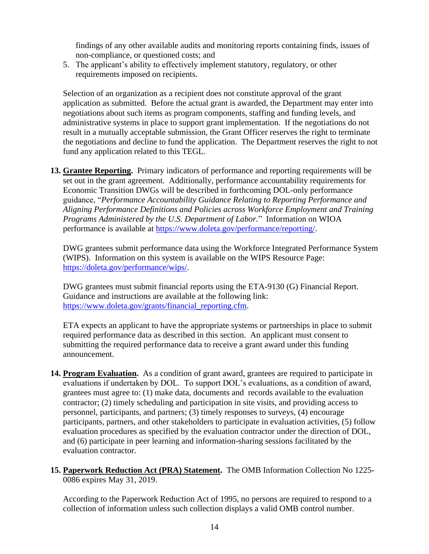findings of any other available audits and monitoring reports containing finds, issues of non-compliance, or questioned costs; and

5. The applicant's ability to effectively implement statutory, regulatory, or other requirements imposed on recipients.

Selection of an organization as a recipient does not constitute approval of the grant application as submitted. Before the actual grant is awarded, the Department may enter into negotiations about such items as program components, staffing and funding levels, and administrative systems in place to support grant implementation. If the negotiations do not result in a mutually acceptable submission, the Grant Officer reserves the right to terminate the negotiations and decline to fund the application. The Department reserves the right to not fund any application related to this TEGL.

**13. Grantee Reporting.** Primary indicators of performance and reporting requirements will be set out in the grant agreement. Additionally, performance accountability requirements for Economic Transition DWGs will be described in forthcoming DOL-only performance guidance, "*Performance Accountability Guidance Relating to Reporting Performance and Aligning Performance Definitions and Policies across Workforce Employment and Training Programs Administered by the U.S. Department of Labor.*" Information on WIOA performance is available at [https://www.doleta.gov/performance/reporting/.](https://www.doleta.gov/performance/reporting/)

DWG grantees submit performance data using the Workforce Integrated Performance System (WIPS). Information on this system is available on the WIPS Resource Page: [https://doleta.gov/performance/wips/.](https://doleta.gov/performance/wips/)

DWG grantees must submit financial reports using the ETA-9130 (G) Financial Report. Guidance and instructions are available at the following link: [https://www.doleta.gov/grants/financial\\_reporting.cfm.](https://www.doleta.gov/grants/financial_reporting.cfm)

ETA expects an applicant to have the appropriate systems or partnerships in place to submit required performance data as described in this section. An applicant must consent to submitting the required performance data to receive a grant award under this funding announcement.

- **14. Program Evaluation.** As a condition of grant award, grantees are required to participate in evaluations if undertaken by DOL. To support DOL's evaluations, as a condition of award, grantees must agree to: (1) make data, documents and records available to the evaluation contractor; (2) timely scheduling and participation in site visits, and providing access to personnel, participants, and partners; (3) timely responses to surveys, (4) encourage participants, partners, and other stakeholders to participate in evaluation activities, (5) follow evaluation procedures as specified by the evaluation contractor under the direction of DOL, and (6) participate in peer learning and information-sharing sessions facilitated by the evaluation contractor.
- **15. Paperwork Reduction Act (PRA) Statement.** The OMB Information Collection No 1225- 0086 expires May 31, 2019.

According to the Paperwork Reduction Act of 1995, no persons are required to respond to a collection of information unless such collection displays a valid OMB control number.